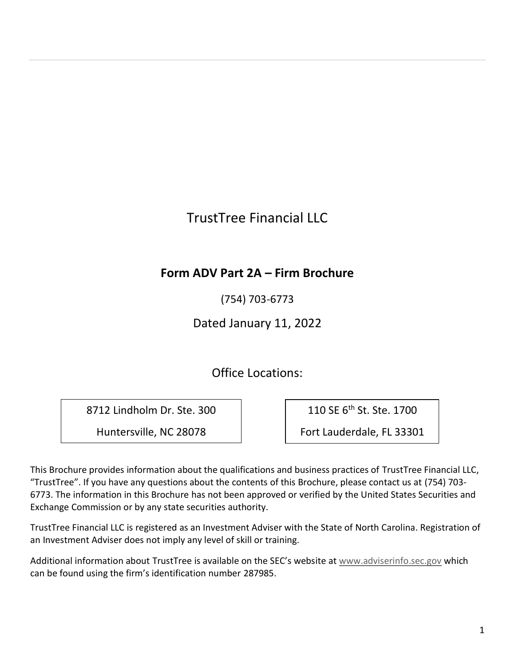<span id="page-0-0"></span>TrustTree Financial LLC

### **Form ADV Part 2A – Firm Brochure**

(754) 703-6773

Dated January 11, 2022

Office Locations:

8712 Lindholm Dr. Ste. 300

Huntersville, NC 28078

110 SE 6<sup>th</sup> St. Ste. 1700

Fort Lauderdale, FL 33301

This Brochure provides information about the qualifications and business practices of TrustTree Financial LLC, "TrustTree". If you have any questions about the contents of this Brochure, please contact us at (754) 703- 6773. The information in this Brochure has not been approved or verified by the United States Securities and Exchange Commission or by any state securities authority.

TrustTree Financial LLC is registered as an Investment Adviser with the State of North Carolina. Registration of an Investment Adviser does not imply any level of skill or training.

Additional information about TrustTree is available on the SEC's website at [www.adviserinfo.sec.gov](http://www.adviserinfo.sec.gov/) which can be found using the firm's identification number 287985.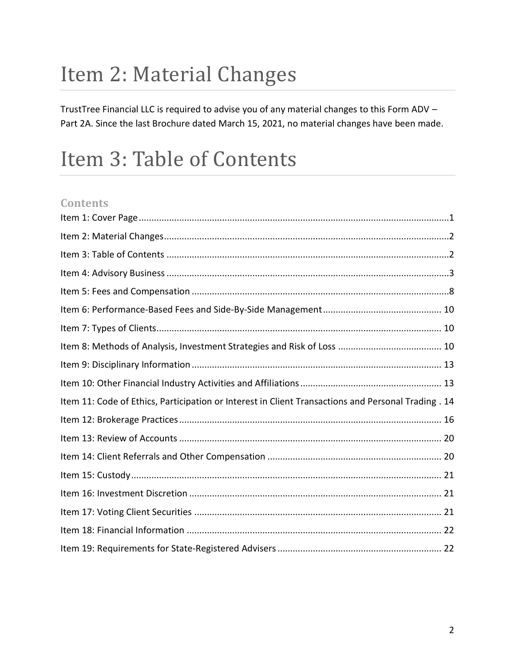## <span id="page-1-0"></span>Item 2: Material Changes

TrustTree Financial LLC is required to advise you of any material changes to this Form ADV – Part 2A. Since the last Brochure dated March 15, 2021, no material changes have been made.

## <span id="page-1-1"></span>Item 3: Table of Contents

#### **Contents**

| Item 11: Code of Ethics, Participation or Interest in Client Transactions and Personal Trading . 14 |
|-----------------------------------------------------------------------------------------------------|
|                                                                                                     |
|                                                                                                     |
|                                                                                                     |
|                                                                                                     |
|                                                                                                     |
|                                                                                                     |
|                                                                                                     |
|                                                                                                     |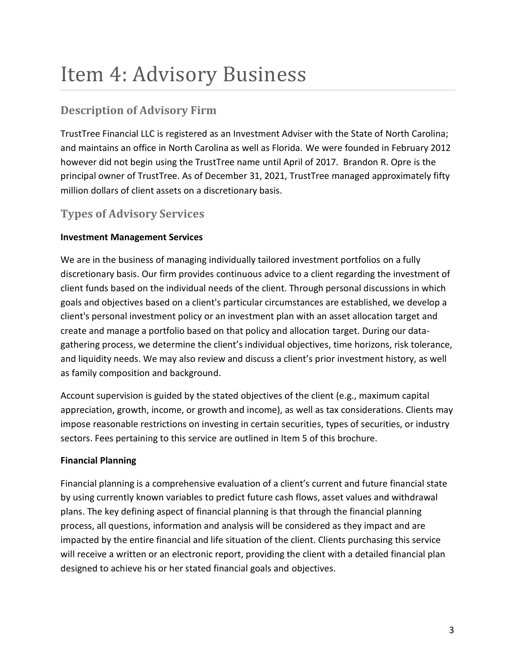## <span id="page-2-0"></span>Item 4: Advisory Business

### **Description of Advisory Firm**

TrustTree Financial LLC is registered as an Investment Adviser with the State of North Carolina; and maintains an office in North Carolina as well as Florida. We were founded in February 2012 however did not begin using the TrustTree name until April of 2017. Brandon R. Opre is the principal owner of TrustTree. As of December 31, 2021, TrustTree managed approximately fifty million dollars of client assets on a discretionary basis.

### **Types of Advisory Services**

#### **Investment Management Services**

We are in the business of managing individually tailored investment portfolios on a fully discretionary basis. Our firm provides continuous advice to a client regarding the investment of client funds based on the individual needs of the client. Through personal discussions in which goals and objectives based on a client's particular circumstances are established, we develop a client's personal investment policy or an investment plan with an asset allocation target and create and manage a portfolio based on that policy and allocation target. During our datagathering process, we determine the client's individual objectives, time horizons, risk tolerance, and liquidity needs. We may also review and discuss a client's prior investment history, as well as family composition and background.

Account supervision is guided by the stated objectives of the client (e.g., maximum capital appreciation, growth, income, or growth and income), as well as tax considerations. Clients may impose reasonable restrictions on investing in certain securities, types of securities, or industry sectors. Fees pertaining to this service are outlined in Item 5 of this brochure.

#### **Financial Planning**

Financial planning is a comprehensive evaluation of a client's current and future financial state by using currently known variables to predict future cash flows, asset values and withdrawal plans. The key defining aspect of financial planning is that through the financial planning process, all questions, information and analysis will be considered as they impact and are impacted by the entire financial and life situation of the client. Clients purchasing this service will receive a written or an electronic report, providing the client with a detailed financial plan designed to achieve his or her stated financial goals and objectives.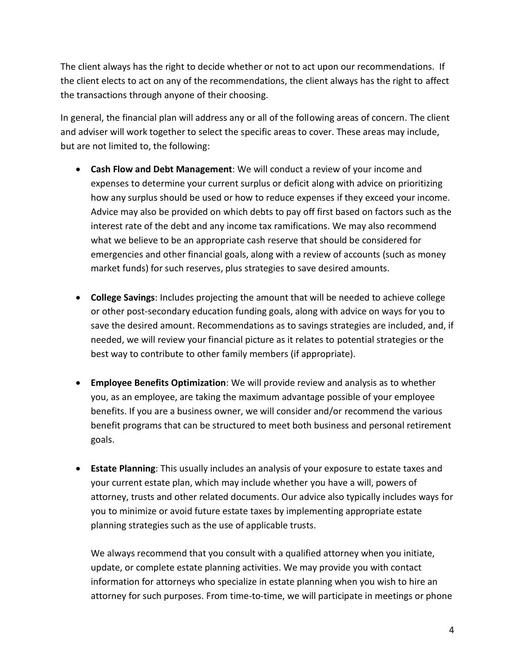The client always has the right to decide whether or not to act upon our recommendations. If the client elects to act on any of the recommendations, the client always has the right to affect the transactions through anyone of their choosing.

In general, the financial plan will address any or all of the following areas of concern. The client and adviser will work together to select the specific areas to cover. These areas may include, but are not limited to, the following:

- **Cash Flow and Debt Management**: We will conduct a review of your income and expenses to determine your current surplus or deficit along with advice on prioritizing how any surplus should be used or how to reduce expenses if they exceed your income. Advice may also be provided on which debts to pay off first based on factors such as the interest rate of the debt and any income tax ramifications. We may also recommend what we believe to be an appropriate cash reserve that should be considered for emergencies and other financial goals, along with a review of accounts (such as money market funds) for such reserves, plus strategies to save desired amounts.
- **College Savings**: Includes projecting the amount that will be needed to achieve college or other post-secondary education funding goals, along with advice on ways for you to save the desired amount. Recommendations as to savings strategies are included, and, if needed, we will review your financial picture as it relates to potential strategies or the best way to contribute to other family members (if appropriate).
- **Employee Benefits Optimization**: We will provide review and analysis as to whether you, as an employee, are taking the maximum advantage possible of your employee benefits. If you are a business owner, we will consider and/or recommend the various benefit programs that can be structured to meet both business and personal retirement goals.
- **Estate Planning**: This usually includes an analysis of your exposure to estate taxes and your current estate plan, which may include whether you have a will, powers of attorney, trusts and other related documents. Our advice also typically includes ways for you to minimize or avoid future estate taxes by implementing appropriate estate planning strategies such as the use of applicable trusts.

We always recommend that you consult with a qualified attorney when you initiate, update, or complete estate planning activities. We may provide you with contact information for attorneys who specialize in estate planning when you wish to hire an attorney for such purposes. From time-to-time, we will participate in meetings or phone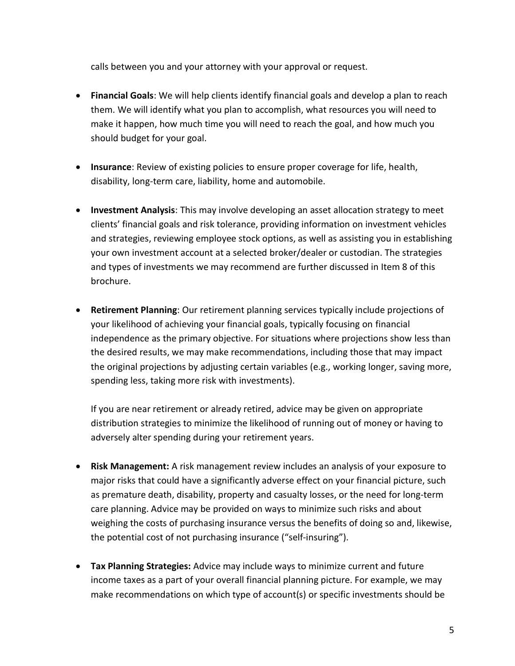calls between you and your attorney with your approval or request.

- **Financial Goals**: We will help clients identify financial goals and develop a plan to reach them. We will identify what you plan to accomplish, what resources you will need to make it happen, how much time you will need to reach the goal, and how much you should budget for your goal.
- **Insurance**: Review of existing policies to ensure proper coverage for life, health, disability, long-term care, liability, home and automobile.
- **Investment Analysis**: This may involve developing an asset allocation strategy to meet clients' financial goals and risk tolerance, providing information on investment vehicles and strategies, reviewing employee stock options, as well as assisting you in establishing your own investment account at a selected broker/dealer or custodian. The strategies and types of investments we may recommend are further discussed in Item 8 of this brochure.
- **Retirement Planning**: Our retirement planning services typically include projections of your likelihood of achieving your financial goals, typically focusing on financial independence as the primary objective. For situations where projections show less than the desired results, we may make recommendations, including those that may impact the original projections by adjusting certain variables (e.g., working longer, saving more, spending less, taking more risk with investments).

If you are near retirement or already retired, advice may be given on appropriate distribution strategies to minimize the likelihood of running out of money or having to adversely alter spending during your retirement years.

- **Risk Management:** A risk management review includes an analysis of your exposure to major risks that could have a significantly adverse effect on your financial picture, such as premature death, disability, property and casualty losses, or the need for long-term care planning. Advice may be provided on ways to minimize such risks and about weighing the costs of purchasing insurance versus the benefits of doing so and, likewise, the potential cost of not purchasing insurance ("self‐insuring").
- **Tax Planning Strategies:** Advice may include ways to minimize current and future income taxes as a part of your overall financial planning picture. For example, we may make recommendations on which type of account(s) or specific investments should be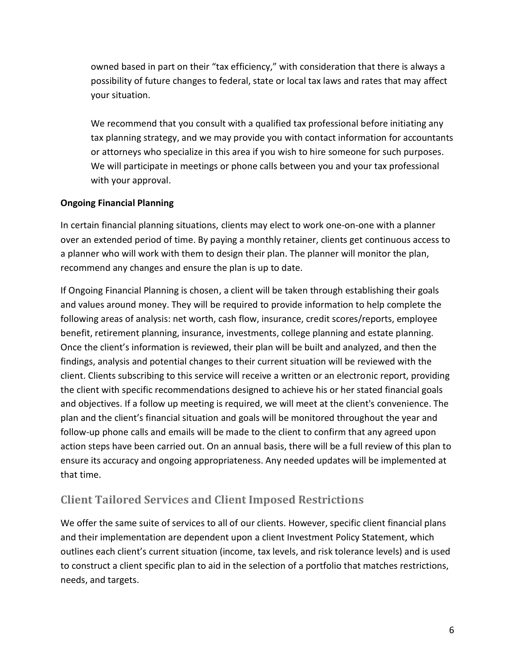owned based in part on their "tax efficiency," with consideration that there is always a possibility of future changes to federal, state or local tax laws and rates that may affect your situation.

We recommend that you consult with a qualified tax professional before initiating any tax planning strategy, and we may provide you with contact information for accountants or attorneys who specialize in this area if you wish to hire someone for such purposes. We will participate in meetings or phone calls between you and your tax professional with your approval.

#### **Ongoing Financial Planning**

In certain financial planning situations, clients may elect to work one-on-one with a planner over an extended period of time. By paying a monthly retainer, clients get continuous access to a planner who will work with them to design their plan. The planner will monitor the plan, recommend any changes and ensure the plan is up to date.

If Ongoing Financial Planning is chosen, a client will be taken through establishing their goals and values around money. They will be required to provide information to help complete the following areas of analysis: net worth, cash flow, insurance, credit scores/reports, employee benefit, retirement planning, insurance, investments, college planning and estate planning. Once the client's information is reviewed, their plan will be built and analyzed, and then the findings, analysis and potential changes to their current situation will be reviewed with the client. Clients subscribing to this service will receive a written or an electronic report, providing the client with specific recommendations designed to achieve his or her stated financial goals and objectives. If a follow up meeting is required, we will meet at the client's convenience. The plan and the client's financial situation and goals will be monitored throughout the year and follow-up phone calls and emails will be made to the client to confirm that any agreed upon action steps have been carried out. On an annual basis, there will be a full review of this plan to ensure its accuracy and ongoing appropriateness. Any needed updates will be implemented at that time.

### **Client Tailored Services and Client Imposed Restrictions**

We offer the same suite of services to all of our clients. However, specific client financial plans and their implementation are dependent upon a client Investment Policy Statement, which outlines each client's current situation (income, tax levels, and risk tolerance levels) and is used to construct a client specific plan to aid in the selection of a portfolio that matches restrictions, needs, and targets.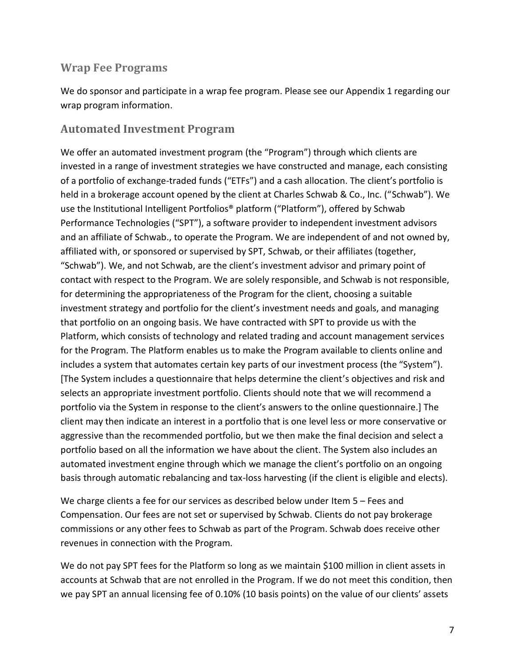#### **Wrap Fee Programs**

We do sponsor and participate in a wrap fee program. Please see our Appendix 1 regarding our wrap program information.

#### **Automated Investment Program**

We offer an automated investment program (the "Program") through which clients are invested in a range of investment strategies we have constructed and manage, each consisting of a portfolio of exchange-traded funds ("ETFs") and a cash allocation. The client's portfolio is held in a brokerage account opened by the client at Charles Schwab & Co., Inc. ("Schwab"). We use the Institutional Intelligent Portfolios® platform ("Platform"), offered by Schwab Performance Technologies ("SPT"), a software provider to independent investment advisors and an affiliate of Schwab., to operate the Program. We are independent of and not owned by, affiliated with, or sponsored or supervised by SPT, Schwab, or their affiliates (together, "Schwab"). We, and not Schwab, are the client's investment advisor and primary point of contact with respect to the Program. We are solely responsible, and Schwab is not responsible, for determining the appropriateness of the Program for the client, choosing a suitable investment strategy and portfolio for the client's investment needs and goals, and managing that portfolio on an ongoing basis. We have contracted with SPT to provide us with the Platform, which consists of technology and related trading and account management services for the Program. The Platform enables us to make the Program available to clients online and includes a system that automates certain key parts of our investment process (the "System"). [The System includes a questionnaire that helps determine the client's objectives and risk and selects an appropriate investment portfolio. Clients should note that we will recommend a portfolio via the System in response to the client's answers to the online questionnaire.] The client may then indicate an interest in a portfolio that is one level less or more conservative or aggressive than the recommended portfolio, but we then make the final decision and select a portfolio based on all the information we have about the client. The System also includes an automated investment engine through which we manage the client's portfolio on an ongoing basis through automatic rebalancing and tax-loss harvesting (if the client is eligible and elects).

We charge clients a fee for our services as described below under Item 5 – Fees and Compensation. Our fees are not set or supervised by Schwab. Clients do not pay brokerage commissions or any other fees to Schwab as part of the Program. Schwab does receive other revenues in connection with the Program.

We do not pay SPT fees for the Platform so long as we maintain \$100 million in client assets in accounts at Schwab that are not enrolled in the Program. If we do not meet this condition, then we pay SPT an annual licensing fee of 0.10% (10 basis points) on the value of our clients' assets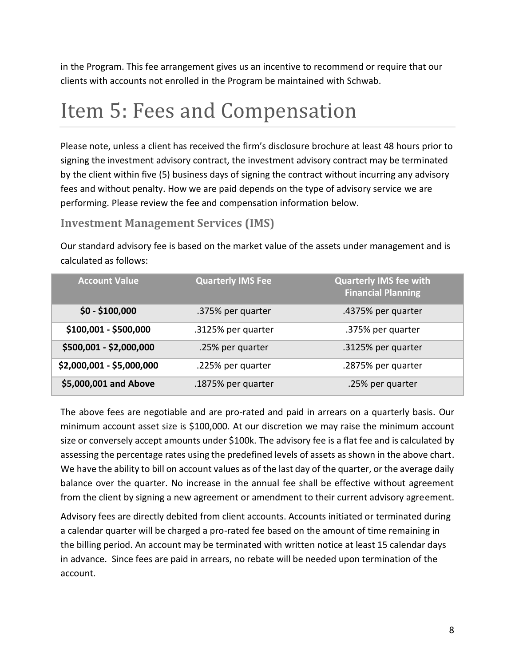in the Program. This fee arrangement gives us an incentive to recommend or require that our clients with accounts not enrolled in the Program be maintained with Schwab.

## <span id="page-7-0"></span>Item 5: Fees and Compensation

Please note, unless a client has received the firm's disclosure brochure at least 48 hours prior to signing the investment advisory contract, the investment advisory contract may be terminated by the client within five (5) business days of signing the contract without incurring any advisory fees and without penalty. How we are paid depends on the type of advisory service we are performing. Please review the fee and compensation information below.

#### **Investment Management Services (IMS)**

**Account Value Quarterly IMS Fee Quarterly IMS fee with Financial Planning \$0 - \$100,000** .375% per quarter .4375% per quarter **\$100,001 - \$500,000** .3125% per quarter .375% per quarter **\$500,001 - \$2,000,000** .25% per quarter .3125% per quarter **\$2,000,001 - \$5,000,000** .225% per quarter .2875% per quarter **\$5,000,001 and Above** .1875% per quarter .25% per quarter

Our standard advisory fee is based on the market value of the assets under management and is calculated as follows:

The above fees are negotiable and are pro-rated and paid in arrears on a quarterly basis. Our minimum account asset size is \$100,000. At our discretion we may raise the minimum account size or conversely accept amounts under \$100k. The advisory fee is a flat fee and is calculated by assessing the percentage rates using the predefined levels of assets as shown in the above chart. We have the ability to bill on account values as of the last day of the quarter, or the average daily balance over the quarter. No increase in the annual fee shall be effective without agreement from the client by signing a new agreement or amendment to their current advisory agreement.

Advisory fees are directly debited from client accounts. Accounts initiated or terminated during a calendar quarter will be charged a pro-rated fee based on the amount of time remaining in the billing period. An account may be terminated with written notice at least 15 calendar days in advance. Since fees are paid in arrears, no rebate will be needed upon termination of the account.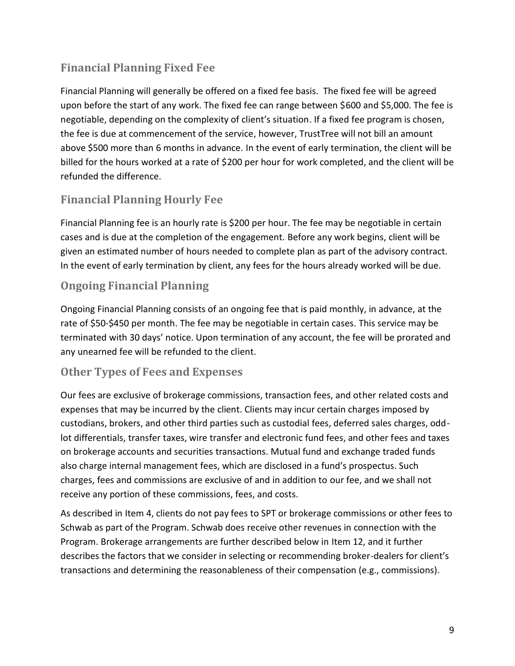### **Financial Planning Fixed Fee**

Financial Planning will generally be offered on a fixed fee basis. The fixed fee will be agreed upon before the start of any work. The fixed fee can range between \$600 and \$5,000. The fee is negotiable, depending on the complexity of client's situation. If a fixed fee program is chosen, the fee is due at commencement of the service, however, TrustTree will not bill an amount above \$500 more than 6 months in advance. In the event of early termination, the client will be billed for the hours worked at a rate of \$200 per hour for work completed, and the client will be refunded the difference.

### **Financial Planning Hourly Fee**

Financial Planning fee is an hourly rate is \$200 per hour. The fee may be negotiable in certain cases and is due at the completion of the engagement. Before any work begins, client will be given an estimated number of hours needed to complete plan as part of the advisory contract. In the event of early termination by client, any fees for the hours already worked will be due.

### **Ongoing Financial Planning**

Ongoing Financial Planning consists of an ongoing fee that is paid monthly, in advance, at the rate of \$50-\$450 per month. The fee may be negotiable in certain cases. This service may be terminated with 30 days' notice. Upon termination of any account, the fee will be prorated and any unearned fee will be refunded to the client.

### **Other Types of Fees and Expenses**

Our fees are exclusive of brokerage commissions, transaction fees, and other related costs and expenses that may be incurred by the client. Clients may incur certain charges imposed by custodians, brokers, and other third parties such as custodial fees, deferred sales charges, oddlot differentials, transfer taxes, wire transfer and electronic fund fees, and other fees and taxes on brokerage accounts and securities transactions. Mutual fund and exchange traded funds also charge internal management fees, which are disclosed in a fund's prospectus. Such charges, fees and commissions are exclusive of and in addition to our fee, and we shall not receive any portion of these commissions, fees, and costs.

As described in Item 4, clients do not pay fees to SPT or brokerage commissions or other fees to Schwab as part of the Program. Schwab does receive other revenues in connection with the Program. Brokerage arrangements are further described below in Item 12, and it further describes the factors that we consider in selecting or recommending broker-dealers for client's transactions and determining the reasonableness of their compensation (e.g., commissions).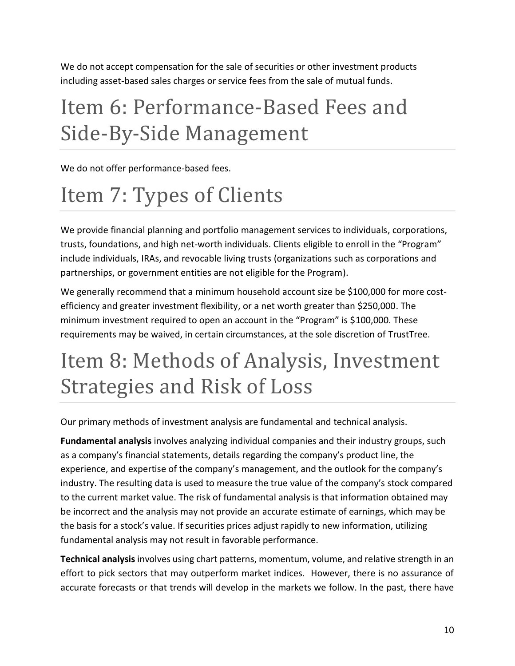We do not accept compensation for the sale of securities or other investment products including asset-based sales charges or service fees from the sale of mutual funds.

## <span id="page-9-0"></span>Item 6: Performance-Based Fees and Side-By-Side Management

We do not offer performance-based fees.

## <span id="page-9-1"></span>Item 7: Types of Clients

We provide financial planning and portfolio management services to individuals, corporations, trusts, foundations, and high net-worth individuals. Clients eligible to enroll in the "Program" include individuals, IRAs, and revocable living trusts (organizations such as corporations and partnerships, or government entities are not eligible for the Program).

We generally recommend that a minimum household account size be \$100,000 for more costefficiency and greater investment flexibility, or a net worth greater than \$250,000. The minimum investment required to open an account in the "Program" is \$100,000. These requirements may be waived, in certain circumstances, at the sole discretion of TrustTree.

## <span id="page-9-2"></span>Item 8: Methods of Analysis, Investment Strategies and Risk of Loss

Our primary methods of investment analysis are fundamental and technical analysis.

**Fundamental analysis** involves analyzing individual companies and their industry groups, such as a company's financial statements, details regarding the company's product line, the experience, and expertise of the company's management, and the outlook for the company's industry. The resulting data is used to measure the true value of the company's stock compared to the current market value. The risk of fundamental analysis is that information obtained may be incorrect and the analysis may not provide an accurate estimate of earnings, which may be the basis for a stock's value. If securities prices adjust rapidly to new information, utilizing fundamental analysis may not result in favorable performance.

**Technical analysis** involves using chart patterns, momentum, volume, and relative strength in an effort to pick sectors that may outperform market indices. However, there is no assurance of accurate forecasts or that trends will develop in the markets we follow. In the past, there have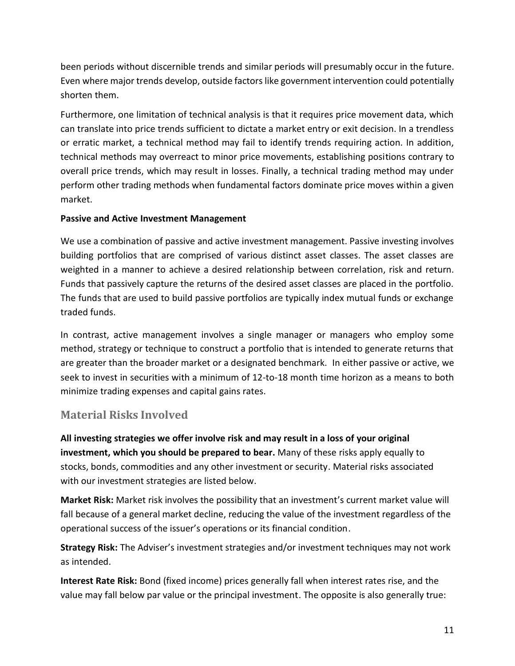been periods without discernible trends and similar periods will presumably occur in the future. Even where major trends develop, outside factors like government intervention could potentially shorten them.

Furthermore, one limitation of technical analysis is that it requires price movement data, which can translate into price trends sufficient to dictate a market entry or exit decision. In a trendless or erratic market, a technical method may fail to identify trends requiring action. In addition, technical methods may overreact to minor price movements, establishing positions contrary to overall price trends, which may result in losses. Finally, a technical trading method may under perform other trading methods when fundamental factors dominate price moves within a given market.

#### **Passive and Active Investment Management**

We use a combination of passive and active investment management. Passive investing involves building portfolios that are comprised of various distinct asset classes. The asset classes are weighted in a manner to achieve a desired relationship between correlation, risk and return. Funds that passively capture the returns of the desired asset classes are placed in the portfolio. The funds that are used to build passive portfolios are typically index mutual funds or exchange traded funds.

In contrast, active management involves a single manager or managers who employ some method, strategy or technique to construct a portfolio that is intended to generate returns that are greater than the broader market or a designated benchmark. In either passive or active, we seek to invest in securities with a minimum of 12-to-18 month time horizon as a means to both minimize trading expenses and capital gains rates.

#### **Material Risks Involved**

**All investing strategies we offer involve risk and may result in a loss of your original investment, which you should be prepared to bear.** Many of these risks apply equally to stocks, bonds, commodities and any other investment or security. Material risks associated with our investment strategies are listed below.

**Market Risk:** Market risk involves the possibility that an investment's current market value will fall because of a general market decline, reducing the value of the investment regardless of the operational success of the issuer's operations or its financial condition.

**Strategy Risk:** The Adviser's investment strategies and/or investment techniques may not work as intended.

**Interest Rate Risk:** Bond (fixed income) prices generally fall when interest rates rise, and the value may fall below par value or the principal investment. The opposite is also generally true: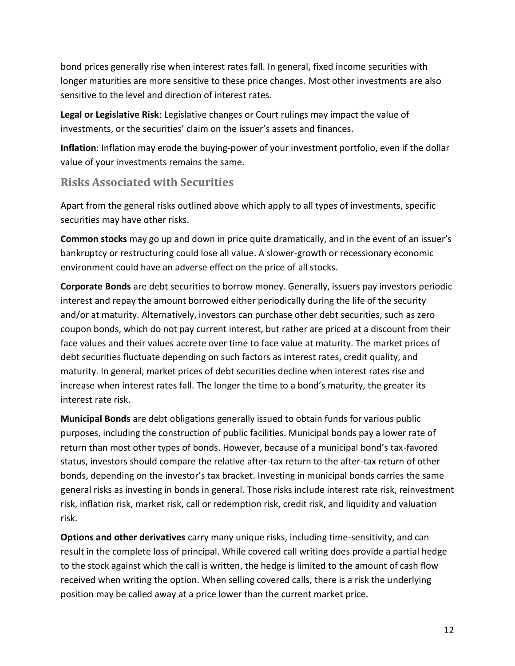bond prices generally rise when interest rates fall. In general, fixed income securities with longer maturities are more sensitive to these price changes. Most other investments are also sensitive to the level and direction of interest rates.

**Legal or Legislative Risk**: Legislative changes or Court rulings may impact the value of investments, or the securities' claim on the issuer's assets and finances.

**Inflation**: Inflation may erode the buying-power of your investment portfolio, even if the dollar value of your investments remains the same.

#### **Risks Associated with Securities**

Apart from the general risks outlined above which apply to all types of investments, specific securities may have other risks.

**Common stocks** may go up and down in price quite dramatically, and in the event of an issuer's bankruptcy or restructuring could lose all value. A slower-growth or recessionary economic environment could have an adverse effect on the price of all stocks.

**Corporate Bonds** are debt securities to borrow money. Generally, issuers pay investors periodic interest and repay the amount borrowed either periodically during the life of the security and/or at maturity. Alternatively, investors can purchase other debt securities, such as zero coupon bonds, which do not pay current interest, but rather are priced at a discount from their face values and their values accrete over time to face value at maturity. The market prices of debt securities fluctuate depending on such factors as interest rates, credit quality, and maturity. In general, market prices of debt securities decline when interest rates rise and increase when interest rates fall. The longer the time to a bond's maturity, the greater its interest rate risk.

**Municipal Bonds** are debt obligations generally issued to obtain funds for various public purposes, including the construction of public facilities. Municipal bonds pay a lower rate of return than most other types of bonds. However, because of a municipal bond's tax-favored status, investors should compare the relative after-tax return to the after-tax return of other bonds, depending on the investor's tax bracket. Investing in municipal bonds carries the same general risks as investing in bonds in general. Those risks include interest rate risk, reinvestment risk, inflation risk, market risk, call or redemption risk, credit risk, and liquidity and valuation risk.

**Options and other derivatives** carry many unique risks, including time-sensitivity, and can result in the complete loss of principal. While covered call writing does provide a partial hedge to the stock against which the call is written, the hedge is limited to the amount of cash flow received when writing the option. When selling covered calls, there is a risk the underlying position may be called away at a price lower than the current market price.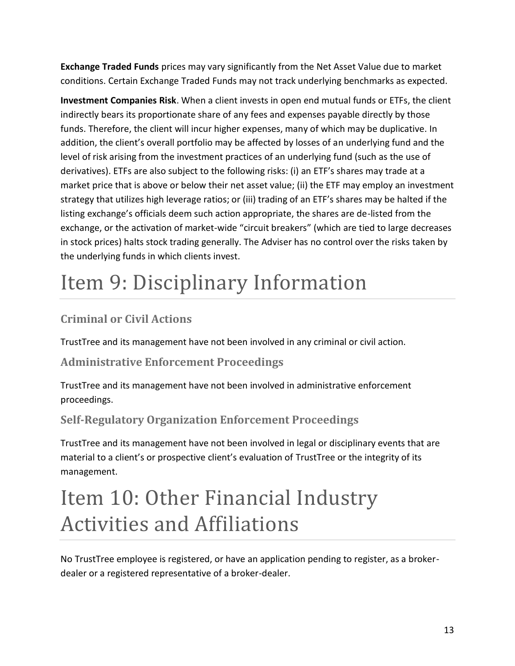**Exchange Traded Funds** prices may vary significantly from the Net Asset Value due to market conditions. Certain Exchange Traded Funds may not track underlying benchmarks as expected.

**Investment Companies Risk**. When a client invests in open end mutual funds or ETFs, the client indirectly bears its proportionate share of any fees and expenses payable directly by those funds. Therefore, the client will incur higher expenses, many of which may be duplicative. In addition, the client's overall portfolio may be affected by losses of an underlying fund and the level of risk arising from the investment practices of an underlying fund (such as the use of derivatives). ETFs are also subject to the following risks: (i) an ETF's shares may trade at a market price that is above or below their net asset value; (ii) the ETF may employ an investment strategy that utilizes high leverage ratios; or (iii) trading of an ETF's shares may be halted if the listing exchange's officials deem such action appropriate, the shares are de-listed from the exchange, or the activation of market-wide "circuit breakers" (which are tied to large decreases in stock prices) halts stock trading generally. The Adviser has no control over the risks taken by the underlying funds in which clients invest.

## <span id="page-12-0"></span>Item 9: Disciplinary Information

### **Criminal or Civil Actions**

TrustTree and its management have not been involved in any criminal or civil action.

### **Administrative Enforcement Proceedings**

TrustTree and its management have not been involved in administrative enforcement proceedings.

### **Self-Regulatory Organization Enforcement Proceedings**

TrustTree and its management have not been involved in legal or disciplinary events that are material to a client's or prospective client's evaluation of TrustTree or the integrity of its management.

## <span id="page-12-1"></span>Item 10: Other Financial Industry Activities and Affiliations

No TrustTree employee is registered, or have an application pending to register, as a brokerdealer or a registered representative of a broker-dealer.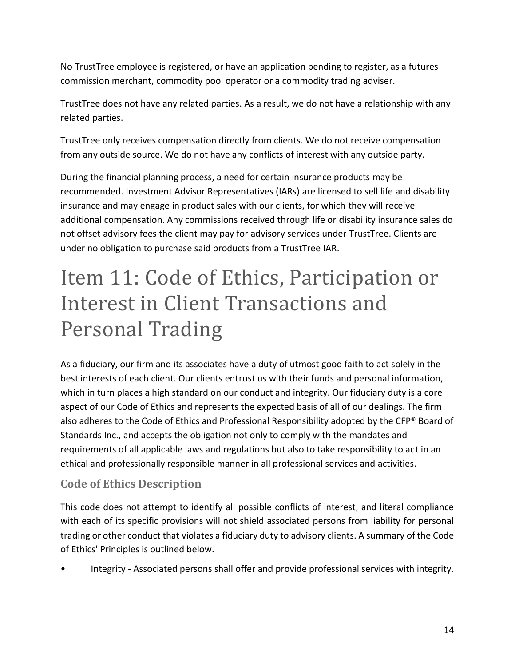No TrustTree employee is registered, or have an application pending to register, as a futures commission merchant, commodity pool operator or a commodity trading adviser.

TrustTree does not have any related parties. As a result, we do not have a relationship with any related parties.

TrustTree only receives compensation directly from clients. We do not receive compensation from any outside source. We do not have any conflicts of interest with any outside party.

During the financial planning process, a need for certain insurance products may be recommended. Investment Advisor Representatives (IARs) are licensed to sell life and disability insurance and may engage in product sales with our clients, for which they will receive additional compensation. Any commissions received through life or disability insurance sales do not offset advisory fees the client may pay for advisory services under TrustTree. Clients are under no obligation to purchase said products from a TrustTree IAR.

## <span id="page-13-0"></span>Item 11: Code of Ethics, Participation or Interest in Client Transactions and Personal Trading

As a fiduciary, our firm and its associates have a duty of utmost good faith to act solely in the best interests of each client. Our clients entrust us with their funds and personal information, which in turn places a high standard on our conduct and integrity. Our fiduciary duty is a core aspect of our Code of Ethics and represents the expected basis of all of our dealings. The firm also adheres to the Code of Ethics and Professional Responsibility adopted by the CFP® Board of Standards Inc., and accepts the obligation not only to comply with the mandates and requirements of all applicable laws and regulations but also to take responsibility to act in an ethical and professionally responsible manner in all professional services and activities.

### **Code of Ethics Description**

This code does not attempt to identify all possible conflicts of interest, and literal compliance with each of its specific provisions will not shield associated persons from liability for personal trading or other conduct that violates a fiduciary duty to advisory clients. A summary of the Code of Ethics' Principles is outlined below.

• Integrity - Associated persons shall offer and provide professional services with integrity.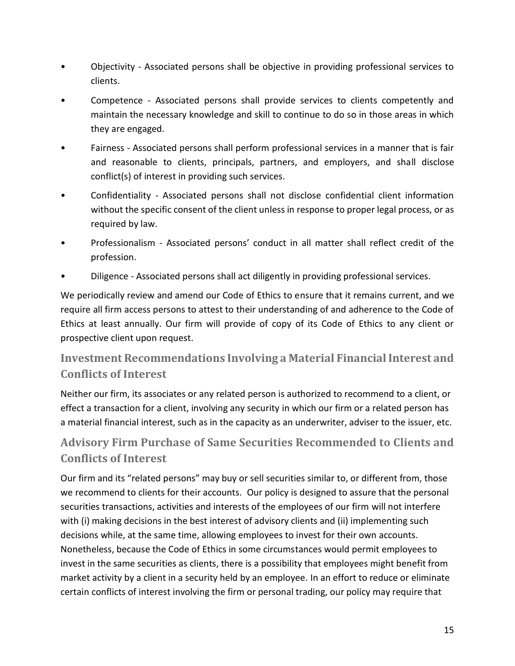- Objectivity Associated persons shall be objective in providing professional services to clients.
- Competence Associated persons shall provide services to clients competently and maintain the necessary knowledge and skill to continue to do so in those areas in which they are engaged.
- Fairness Associated persons shall perform professional services in a manner that is fair and reasonable to clients, principals, partners, and employers, and shall disclose conflict(s) of interest in providing such services.
- Confidentiality Associated persons shall not disclose confidential client information without the specific consent of the client unless in response to proper legal process, or as required by law.
- Professionalism Associated persons' conduct in all matter shall reflect credit of the profession.
- Diligence Associated persons shall act diligently in providing professional services.

We periodically review and amend our Code of Ethics to ensure that it remains current, and we require all firm access persons to attest to their understanding of and adherence to the Code of Ethics at least annually. Our firm will provide of copy of its Code of Ethics to any client or prospective client upon request.

### **Investment Recommendations Involving a Material Financial Interest and Conflicts of Interest**

Neither our firm, its associates or any related person is authorized to recommend to a client, or effect a transaction for a client, involving any security in which our firm or a related person has a material financial interest, such as in the capacity as an underwriter, adviser to the issuer, etc.

### **Advisory Firm Purchase of Same Securities Recommended to Clients and Conflicts of Interest**

Our firm and its "related persons" may buy or sell securities similar to, or different from, those we recommend to clients for their accounts. Our policy is designed to assure that the personal securities transactions, activities and interests of the employees of our firm will not interfere with (i) making decisions in the best interest of advisory clients and (ii) implementing such decisions while, at the same time, allowing employees to invest for their own accounts. Nonetheless, because the Code of Ethics in some circumstances would permit employees to invest in the same securities as clients, there is a possibility that employees might benefit from market activity by a client in a security held by an employee. In an effort to reduce or eliminate certain conflicts of interest involving the firm or personal trading, our policy may require that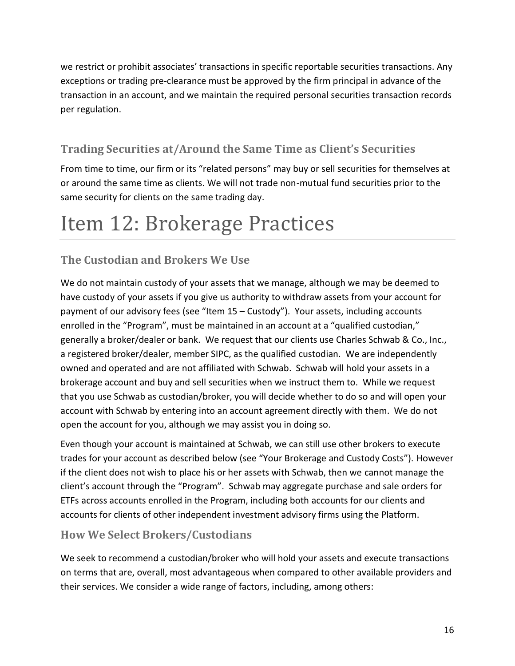we restrict or prohibit associates' transactions in specific reportable securities transactions. Any exceptions or trading pre-clearance must be approved by the firm principal in advance of the transaction in an account, and we maintain the required personal securities transaction records per regulation.

### **Trading Securities at/Around the Same Time as Client's Securities**

From time to time, our firm or its "related persons" may buy or sell securities for themselves at or around the same time as clients. We will not trade non-mutual fund securities prior to the same security for clients on the same trading day.

## <span id="page-15-0"></span>Item 12: Brokerage Practices

### **The Custodian and Brokers We Use**

We do not maintain custody of your assets that we manage, although we may be deemed to have custody of your assets if you give us authority to withdraw assets from your account for payment of our advisory fees (see "Item 15 – Custody"). Your assets, including accounts enrolled in the "Program", must be maintained in an account at a "qualified custodian," generally a broker/dealer or bank. We request that our clients use Charles Schwab & Co., Inc., a registered broker/dealer, member SIPC, as the qualified custodian. We are independently owned and operated and are not affiliated with Schwab. Schwab will hold your assets in a brokerage account and buy and sell securities when we instruct them to. While we request that you use Schwab as custodian/broker, you will decide whether to do so and will open your account with Schwab by entering into an account agreement directly with them. We do not open the account for you, although we may assist you in doing so.

Even though your account is maintained at Schwab, we can still use other brokers to execute trades for your account as described below (see "Your Brokerage and Custody Costs"). However if the client does not wish to place his or her assets with Schwab, then we cannot manage the client's account through the "Program". Schwab may aggregate purchase and sale orders for ETFs across accounts enrolled in the Program, including both accounts for our clients and accounts for clients of other independent investment advisory firms using the Platform.

### **How We Select Brokers/Custodians**

We seek to recommend a custodian/broker who will hold your assets and execute transactions on terms that are, overall, most advantageous when compared to other available providers and their services. We consider a wide range of factors, including, among others: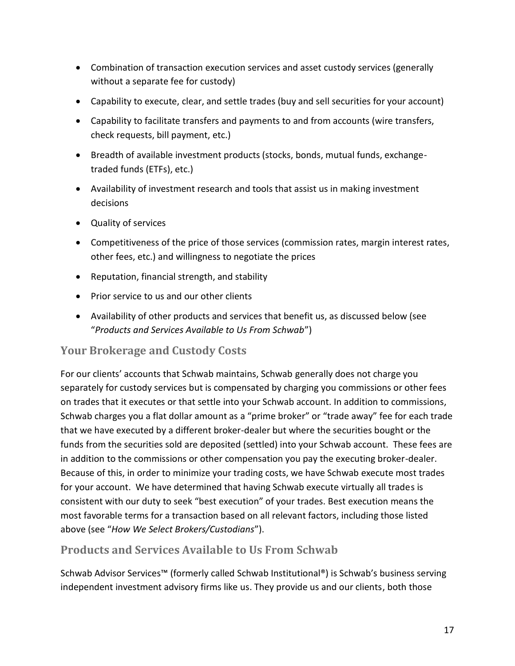- Combination of transaction execution services and asset custody services (generally without a separate fee for custody)
- Capability to execute, clear, and settle trades (buy and sell securities for your account)
- Capability to facilitate transfers and payments to and from accounts (wire transfers, check requests, bill payment, etc.)
- Breadth of available investment products (stocks, bonds, mutual funds, exchangetraded funds (ETFs), etc.)
- Availability of investment research and tools that assist us in making investment decisions
- Quality of services
- Competitiveness of the price of those services (commission rates, margin interest rates, other fees, etc.) and willingness to negotiate the prices
- Reputation, financial strength, and stability
- Prior service to us and our other clients
- Availability of other products and services that benefit us, as discussed below (see "*Products and Services Available to Us From Schwab*")

#### **Your Brokerage and Custody Costs**

For our clients' accounts that Schwab maintains, Schwab generally does not charge you separately for custody services but is compensated by charging you commissions or other fees on trades that it executes or that settle into your Schwab account. In addition to commissions, Schwab charges you a flat dollar amount as a "prime broker" or "trade away" fee for each trade that we have executed by a different broker-dealer but where the securities bought or the funds from the securities sold are deposited (settled) into your Schwab account. These fees are in addition to the commissions or other compensation you pay the executing broker-dealer. Because of this, in order to minimize your trading costs, we have Schwab execute most trades for your account. We have determined that having Schwab execute virtually all trades is consistent with our duty to seek "best execution" of your trades. Best execution means the most favorable terms for a transaction based on all relevant factors, including those listed above (see "*How We Select Brokers/Custodians*").

#### **Products and Services Available to Us From Schwab**

Schwab Advisor Services™ (formerly called Schwab Institutional®) is Schwab's business serving independent investment advisory firms like us. They provide us and our clients, both those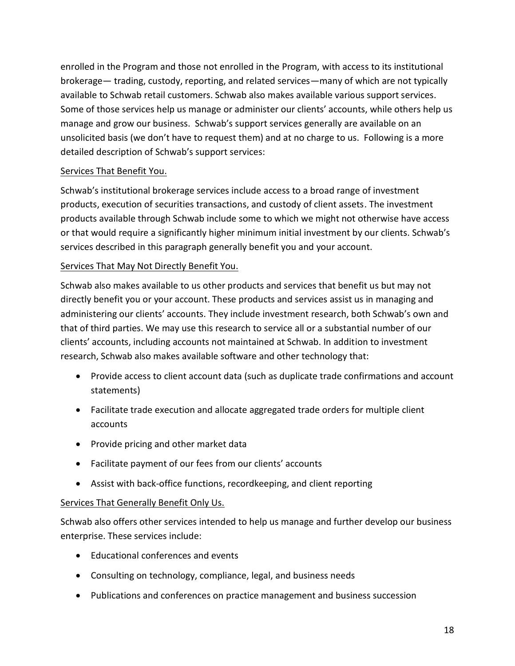enrolled in the Program and those not enrolled in the Program, with access to its institutional brokerage— trading, custody, reporting, and related services—many of which are not typically available to Schwab retail customers. Schwab also makes available various support services. Some of those services help us manage or administer our clients' accounts, while others help us manage and grow our business. Schwab's support services generally are available on an unsolicited basis (we don't have to request them) and at no charge to us. Following is a more detailed description of Schwab's support services:

#### Services That Benefit You.

Schwab's institutional brokerage services include access to a broad range of investment products, execution of securities transactions, and custody of client assets. The investment products available through Schwab include some to which we might not otherwise have access or that would require a significantly higher minimum initial investment by our clients. Schwab's services described in this paragraph generally benefit you and your account.

#### Services That May Not Directly Benefit You.

Schwab also makes available to us other products and services that benefit us but may not directly benefit you or your account. These products and services assist us in managing and administering our clients' accounts. They include investment research, both Schwab's own and that of third parties. We may use this research to service all or a substantial number of our clients' accounts, including accounts not maintained at Schwab. In addition to investment research, Schwab also makes available software and other technology that:

- Provide access to client account data (such as duplicate trade confirmations and account statements)
- Facilitate trade execution and allocate aggregated trade orders for multiple client accounts
- Provide pricing and other market data
- Facilitate payment of our fees from our clients' accounts
- Assist with back-office functions, recordkeeping, and client reporting

#### Services That Generally Benefit Only Us.

Schwab also offers other services intended to help us manage and further develop our business enterprise. These services include:

- Educational conferences and events
- Consulting on technology, compliance, legal, and business needs
- Publications and conferences on practice management and business succession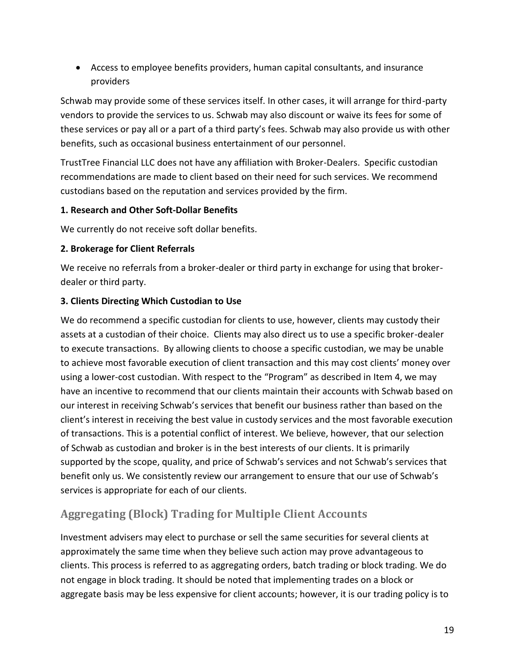• Access to employee benefits providers, human capital consultants, and insurance providers

Schwab may provide some of these services itself. In other cases, it will arrange for third-party vendors to provide the services to us. Schwab may also discount or waive its fees for some of these services or pay all or a part of a third party's fees. Schwab may also provide us with other benefits, such as occasional business entertainment of our personnel.

TrustTree Financial LLC does not have any affiliation with Broker-Dealers. Specific custodian recommendations are made to client based on their need for such services. We recommend custodians based on the reputation and services provided by the firm.

#### **1. Research and Other Soft-Dollar Benefits**

We currently do not receive soft dollar benefits.

#### **2. Brokerage for Client Referrals**

We receive no referrals from a broker-dealer or third party in exchange for using that brokerdealer or third party.

#### **3. Clients Directing Which Custodian to Use**

We do recommend a specific custodian for clients to use, however, clients may custody their assets at a custodian of their choice. Clients may also direct us to use a specific broker-dealer to execute transactions. By allowing clients to choose a specific custodian, we may be unable to achieve most favorable execution of client transaction and this may cost clients' money over using a lower-cost custodian. With respect to the "Program" as described in Item 4, we may have an incentive to recommend that our clients maintain their accounts with Schwab based on our interest in receiving Schwab's services that benefit our business rather than based on the client's interest in receiving the best value in custody services and the most favorable execution of transactions. This is a potential conflict of interest. We believe, however, that our selection of Schwab as custodian and broker is in the best interests of our clients. It is primarily supported by the scope, quality, and price of Schwab's services and not Schwab's services that benefit only us. We consistently review our arrangement to ensure that our use of Schwab's services is appropriate for each of our clients.

### **Aggregating (Block) Trading for Multiple Client Accounts**

Investment advisers may elect to purchase or sell the same securities for several clients at approximately the same time when they believe such action may prove advantageous to clients. This process is referred to as aggregating orders, batch trading or block trading. We do not engage in block trading. It should be noted that implementing trades on a block or aggregate basis may be less expensive for client accounts; however, it is our trading policy is to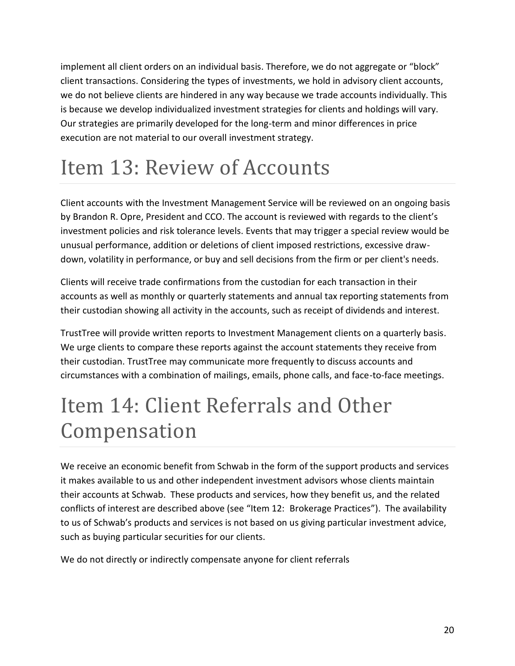implement all client orders on an individual basis. Therefore, we do not aggregate or "block" client transactions. Considering the types of investments, we hold in advisory client accounts, we do not believe clients are hindered in any way because we trade accounts individually. This is because we develop individualized investment strategies for clients and holdings will vary. Our strategies are primarily developed for the long-term and minor differences in price execution are not material to our overall investment strategy.

## <span id="page-19-0"></span>Item 13: Review of Accounts

Client accounts with the Investment Management Service will be reviewed on an ongoing basis by Brandon R. Opre, President and CCO. The account is reviewed with regards to the client's investment policies and risk tolerance levels. Events that may trigger a special review would be unusual performance, addition or deletions of client imposed restrictions, excessive drawdown, volatility in performance, or buy and sell decisions from the firm or per client's needs.

Clients will receive trade confirmations from the custodian for each transaction in their accounts as well as monthly or quarterly statements and annual tax reporting statements from their custodian showing all activity in the accounts, such as receipt of dividends and interest.

TrustTree will provide written reports to Investment Management clients on a quarterly basis. We urge clients to compare these reports against the account statements they receive from their custodian. TrustTree may communicate more frequently to discuss accounts and circumstances with a combination of mailings, emails, phone calls, and face-to-face meetings.

## <span id="page-19-1"></span>Item 14: Client Referrals and Other Compensation

We receive an economic benefit from Schwab in the form of the support products and services it makes available to us and other independent investment advisors whose clients maintain their accounts at Schwab. These products and services, how they benefit us, and the related conflicts of interest are described above (see "Item 12: Brokerage Practices"). The availability to us of Schwab's products and services is not based on us giving particular investment advice, such as buying particular securities for our clients.

We do not directly or indirectly compensate anyone for client referrals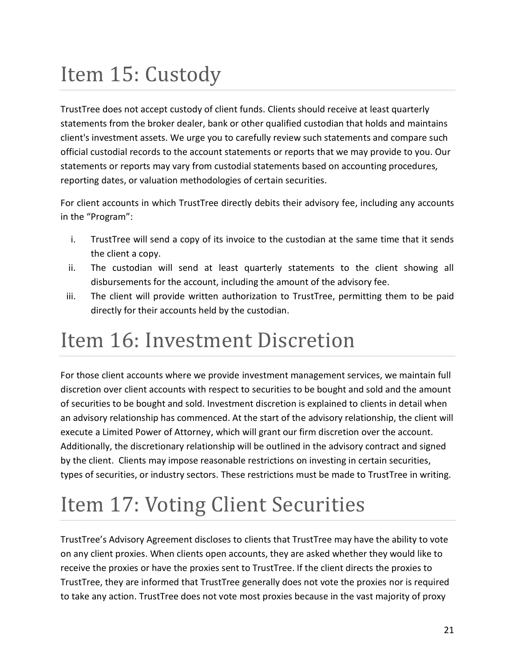## <span id="page-20-0"></span>Item 15: Custody

TrustTree does not accept custody of client funds. Clients should receive at least quarterly statements from the broker dealer, bank or other qualified custodian that holds and maintains client's investment assets. We urge you to carefully review such statements and compare such official custodial records to the account statements or reports that we may provide to you. Our statements or reports may vary from custodial statements based on accounting procedures, reporting dates, or valuation methodologies of certain securities.

For client accounts in which TrustTree directly debits their advisory fee, including any accounts in the "Program":

- i. TrustTree will send a copy of its invoice to the custodian at the same time that it sends the client a copy.
- ii. The custodian will send at least quarterly statements to the client showing all disbursements for the account, including the amount of the advisory fee.
- iii. The client will provide written authorization to TrustTree, permitting them to be paid directly for their accounts held by the custodian.

## <span id="page-20-1"></span>Item 16: Investment Discretion

For those client accounts where we provide investment management services, we maintain full discretion over client accounts with respect to securities to be bought and sold and the amount of securities to be bought and sold. Investment discretion is explained to clients in detail when an advisory relationship has commenced. At the start of the advisory relationship, the client will execute a Limited Power of Attorney, which will grant our firm discretion over the account. Additionally, the discretionary relationship will be outlined in the advisory contract and signed by the client. Clients may impose reasonable restrictions on investing in certain securities, types of securities, or industry sectors. These restrictions must be made to TrustTree in writing.

## <span id="page-20-2"></span>Item 17: Voting Client Securities

TrustTree's Advisory Agreement discloses to clients that TrustTree may have the ability to vote on any client proxies. When clients open accounts, they are asked whether they would like to receive the proxies or have the proxies sent to TrustTree. If the client directs the proxies to TrustTree, they are informed that TrustTree generally does not vote the proxies nor is required to take any action. TrustTree does not vote most proxies because in the vast majority of proxy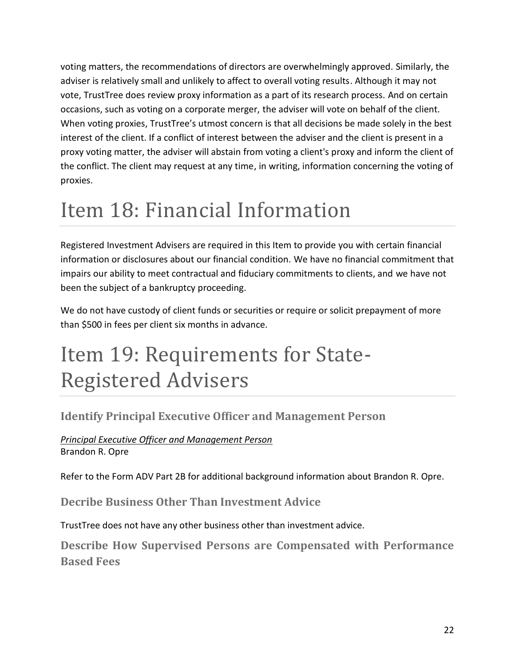voting matters, the recommendations of directors are overwhelmingly approved. Similarly, the adviser is relatively small and unlikely to affect to overall voting results. Although it may not vote, TrustTree does review proxy information as a part of its research process. And on certain occasions, such as voting on a corporate merger, the adviser will vote on behalf of the client. When voting proxies, TrustTree's utmost concern is that all decisions be made solely in the best interest of the client. If a conflict of interest between the adviser and the client is present in a proxy voting matter, the adviser will abstain from voting a client's proxy and inform the client of the conflict. The client may request at any time, in writing, information concerning the voting of proxies.

## <span id="page-21-0"></span>Item 18: Financial Information

Registered Investment Advisers are required in this Item to provide you with certain financial information or disclosures about our financial condition. We have no financial commitment that impairs our ability to meet contractual and fiduciary commitments to clients, and we have not been the subject of a bankruptcy proceeding.

We do not have custody of client funds or securities or require or solicit prepayment of more than \$500 in fees per client six months in advance.

## <span id="page-21-1"></span>Item 19: Requirements for State-Registered Advisers

### **Identify Principal Executive Officer and Management Person**

*Principal Executive Officer and Management Person*  Brandon R. Opre

Refer to the Form ADV Part 2B for additional background information about Brandon R. Opre.

**Decribe Business Other Than Investment Advice**

TrustTree does not have any other business other than investment advice.

**Describe How Supervised Persons are Compensated with Performance Based Fees**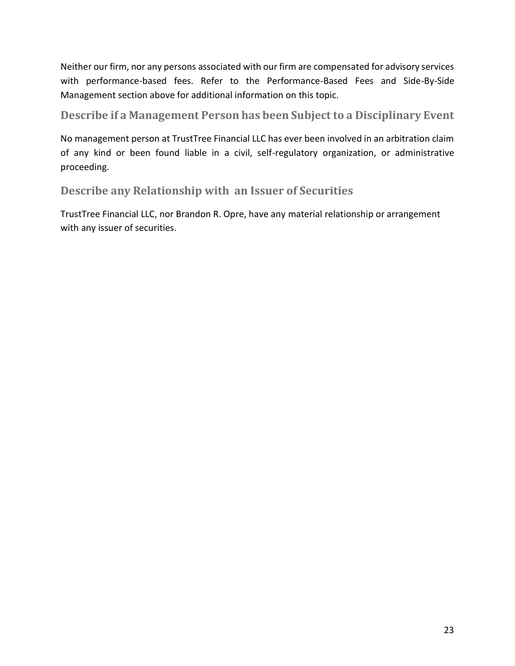Neither our firm, nor any persons associated with our firm are compensated for advisory services with performance-based fees. Refer to the Performance-Based Fees and Side-By-Side Management section above for additional information on this topic.

**Describe if a Management Person has been Subject to a Disciplinary Event**

No management person at TrustTree Financial LLC has ever been involved in an arbitration claim of any kind or been found liable in a civil, self-regulatory organization, or administrative proceeding.

**Describe any Relationship with an Issuer of Securities**

TrustTree Financial LLC, nor Brandon R. Opre, have any material relationship or arrangement with any issuer of securities.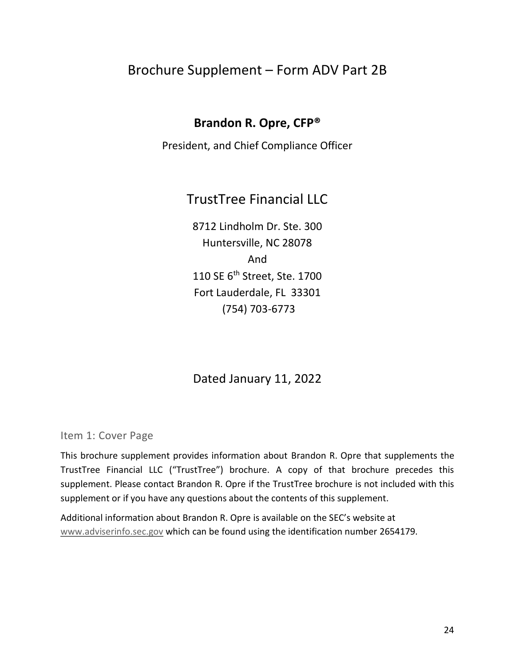## Brochure Supplement – Form ADV Part 2B

### **Brandon R. Opre, CFP®**

President, and Chief Compliance Officer

### TrustTree Financial LLC

8712 Lindholm Dr. Ste. 300 Huntersville, NC 28078 And 110 SE 6<sup>th</sup> Street, Ste. 1700 Fort Lauderdale, FL 33301 (754) 703-6773

Dated January 11, 2022

Item 1: Cover Page

This brochure supplement provides information about Brandon R. Opre that supplements the TrustTree Financial LLC ("TrustTree") brochure. A copy of that brochure precedes this supplement. Please contact Brandon R. Opre if the TrustTree brochure is not included with this supplement or if you have any questions about the contents of this supplement.

Additional information about Brandon R. Opre is available on the SEC's website at [www.adviserinfo.sec.gov](http://www.adviserinfo.sec.gov/) which can be found using the identification number 2654179.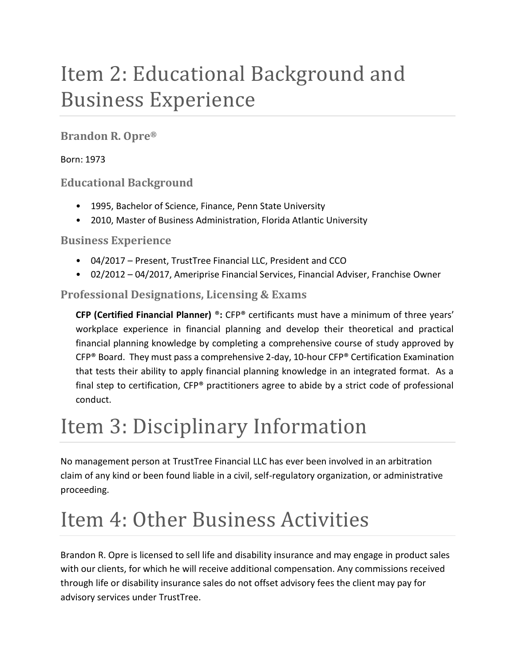## Item 2: Educational Background and Business Experience

**Brandon R. Opre®**

#### Born: 1973

**Educational Background**

- 1995, Bachelor of Science, Finance, Penn State University
- 2010, Master of Business Administration, Florida Atlantic University

**Business Experience** 

- 04/2017 Present, TrustTree Financial LLC, President and CCO
- 02/2012 04/2017, Ameriprise Financial Services, Financial Adviser, Franchise Owner

### **Professional Designations, Licensing & Exams**

**CFP (Certified Financial Planner)** ®**:** CFP® certificants must have a minimum of three years' workplace experience in financial planning and develop their theoretical and practical financial planning knowledge by completing a comprehensive course of study approved by CFP® Board. They must pass a comprehensive 2-day, 10-hour CFP® Certification Examination that tests their ability to apply financial planning knowledge in an integrated format. As a final step to certification, CFP® practitioners agree to abide by a strict code of professional conduct.

## Item 3: Disciplinary Information

No management person at TrustTree Financial LLC has ever been involved in an arbitration claim of any kind or been found liable in a civil, self-regulatory organization, or administrative proceeding.

## Item 4: Other Business Activities

Brandon R. Opre is licensed to sell life and disability insurance and may engage in product sales with our clients, for which he will receive additional compensation. Any commissions received through life or disability insurance sales do not offset advisory fees the client may pay for advisory services under TrustTree.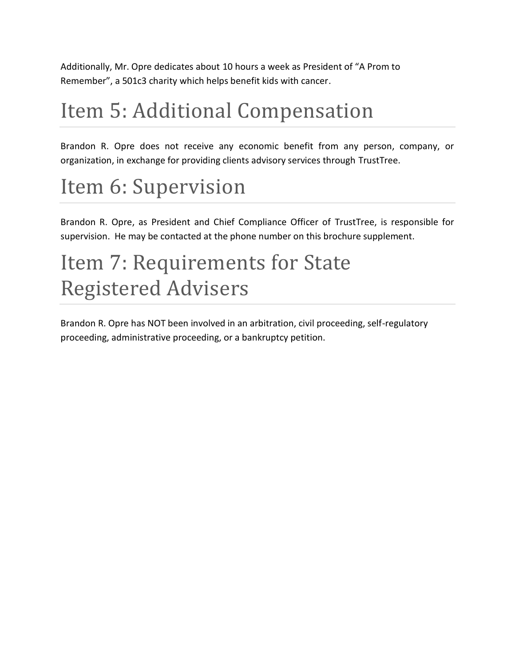Additionally, Mr. Opre dedicates about 10 hours a week as President of "A Prom to Remember", a 501c3 charity which helps benefit kids with cancer.

## Item 5: Additional Compensation

Brandon R. Opre does not receive any economic benefit from any person, company, or organization, in exchange for providing clients advisory services through TrustTree.

## Item 6: Supervision

Brandon R. Opre, as President and Chief Compliance Officer of TrustTree, is responsible for supervision. He may be contacted at the phone number on this brochure supplement.

## Item 7: Requirements for State Registered Advisers

Brandon R. Opre has NOT been involved in an arbitration, civil proceeding, self-regulatory proceeding, administrative proceeding, or a bankruptcy petition.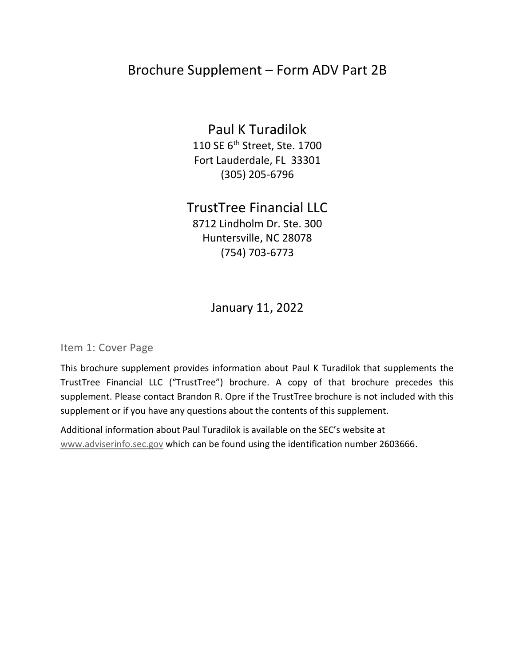### Brochure Supplement – Form ADV Part 2B

### Paul K Turadilok

110 SE 6<sup>th</sup> Street, Ste. 1700 Fort Lauderdale, FL 33301 (305) 205-6796

### TrustTree Financial LLC

8712 Lindholm Dr. Ste. 300 Huntersville, NC 28078 (754) 703-6773

January 11, 2022

Item 1: Cover Page

This brochure supplement provides information about Paul K Turadilok that supplements the TrustTree Financial LLC ("TrustTree") brochure. A copy of that brochure precedes this supplement. Please contact Brandon R. Opre if the TrustTree brochure is not included with this supplement or if you have any questions about the contents of this supplement.

Additional information about Paul Turadilok is available on the SEC's website at [www.adviserinfo.sec.gov](http://www.adviserinfo.sec.gov/) which can be found using the identification number 2603666.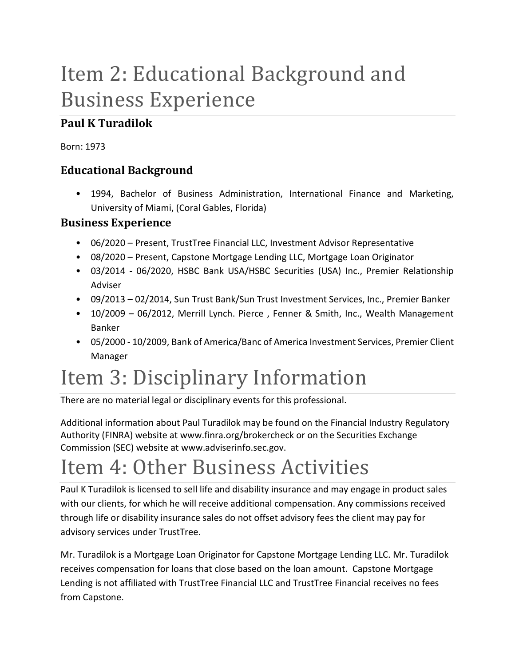## Item 2: Educational Background and Business Experience

### **Paul K Turadilok**

#### Born: 1973

### **Educational Background**

• 1994, Bachelor of Business Administration, International Finance and Marketing, University of Miami, (Coral Gables, Florida)

#### **Business Experience**

- 06/2020 Present, TrustTree Financial LLC, Investment Advisor Representative
- 08/2020 Present, Capstone Mortgage Lending LLC, Mortgage Loan Originator
- 03/2014 06/2020, HSBC Bank USA/HSBC Securities (USA) Inc., Premier Relationship Adviser
- 09/2013 02/2014, Sun Trust Bank/Sun Trust Investment Services, Inc., Premier Banker
- 10/2009 06/2012, Merrill Lynch. Pierce , Fenner & Smith, Inc., Wealth Management Banker
- 05/2000 10/2009, Bank of America/Banc of America Investment Services, Premier Client Manager

## Item 3: Disciplinary Information

There are no material legal or disciplinary events for this professional.

Additional information about Paul Turadilok may be found on the Financial Industry Regulatory Authority (FINRA) website at www.finra.org/brokercheck or on the Securities Exchange Commission (SEC) website at www.adviserinfo.sec.gov.

## Item 4: Other Business Activities

Paul K Turadilok is licensed to sell life and disability insurance and may engage in product sales with our clients, for which he will receive additional compensation. Any commissions received through life or disability insurance sales do not offset advisory fees the client may pay for advisory services under TrustTree.

Mr. Turadilok is a Mortgage Loan Originator for Capstone Mortgage Lending LLC. Mr. Turadilok receives compensation for loans that close based on the loan amount. Capstone Mortgage Lending is not affiliated with TrustTree Financial LLC and TrustTree Financial receives no fees from Capstone.